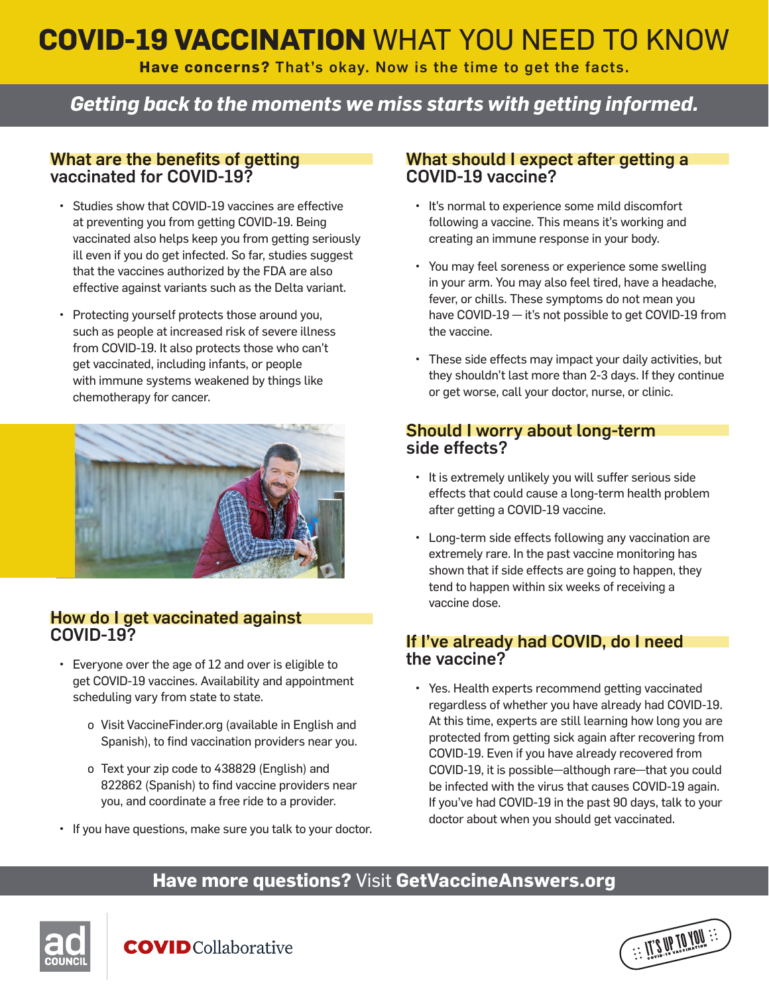# **COVID-19 VACCINATION** WHAT YOU NEED TO KNOW

**Have concerns?** That's okay. Now is the time to get the facts.

## *Getting back to the moments we miss starts with getting informed.*

### What are the benefits of getting vaccinated for COVID-19?

- Studies show that COVID-19 vaccines are effective at preventing you from getting COVID-19. Being vaccinated also helps keep you from getting seriously ill even if you do get infected. So far, studies suggest that the vaccines authorized by the FDA are also effective against variants such as the Delta variant.
- Protecting yourself protects those around you, such as people at increased risk of severe illness from COVID-19. It also protects those who can't get vaccinated, including infants, or people with immune systems weakened by things like chemotherapy for cancer.



### How do I get vaccinated against COVID-19?

- Everyone over the age of 12 and over is eligible to get COVID-19 vaccines. Availability and appointment scheduling vary from state to state.
	- o Visit VaccineFinder.org (available in English and Spanish), to find vaccination providers near you.
	- o Text your zip code to 438829 (English) and 822862 (Spanish) to find vaccine providers near you, and coordinate a free ride to a provider.
- If you have questions, make sure you talk to your doctor.

#### What should I expect after getting a COVID-19 vaccine?

- It's normal to experience some mild discomfort following a vaccine. This means it's working and creating an immune response in your body.
- You may feel soreness or experience some swelling in your arm. You may also feel tired, have a headache, fever, or chills. These symptoms do not mean you have COVID-19 — it's not possible to get COVID-19 from the vaccine.
- These side effects may impact your daily activities, but they shouldn't last more than 2-3 days. If they continue or get worse, call your doctor, nurse, or clinic.

### Should I worry about long-term side effects?

- It is extremely unlikely you will suffer serious side effects that could cause a long-term health problem after getting a COVID-19 vaccine.
- Long-term side effects following any vaccination are extremely rare. In the past vaccine monitoring has shown that if side effects are going to happen, they tend to happen within six weeks of receiving a vaccine dose.

### If I've already had COVID, do I need the vaccine?

• Yes. Health experts recommend getting vaccinated regardless of whether you have already had COVID-19. At this time, experts are still learning how long you are protected from getting sick again after recovering from COVID-19. Even if you have already recovered from COVID-19, it is possible—although rare—that you could be infected with the virus that causes COVID-19 again. If you've had COVID-19 in the past 90 days, talk to your doctor about when you should get vaccinated.

 $\frac{1}{2} \cdot \frac{1}{2} \cdot \frac{1}{2} \cdot \frac{1}{2} \cdot \frac{1}{2} \cdot \frac{1}{2} \cdot \frac{1}{2} \cdot \frac{1}{2} \cdot \frac{1}{2} \cdot \frac{1}{2} \cdot \frac{1}{2} \cdot \frac{1}{2} \cdot \frac{1}{2} \cdot \frac{1}{2} \cdot \frac{1}{2} \cdot \frac{1}{2} \cdot \frac{1}{2} \cdot \frac{1}{2} \cdot \frac{1}{2} \cdot \frac{1}{2} \cdot \frac{1}{2} \cdot \frac{1}{2} \cdot \frac{1}{2} \cdot \frac{1}{2} \cdot \frac{1$ 

### **Have more questions?** Visit **GetVaccineAnswers.org**